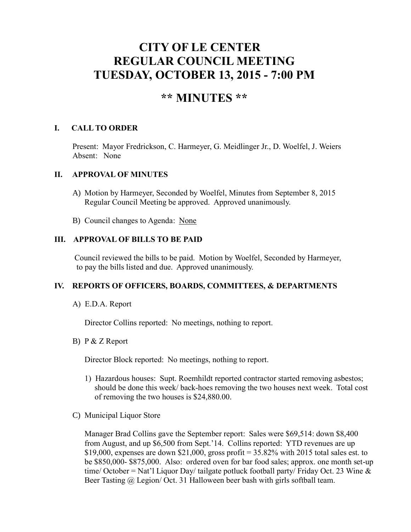# **CITY OF LE CENTER REGULAR COUNCIL MEETING TUESDAY, OCTOBER 13, 2015 - 7:00 PM**

# **\*\* MINUTES \*\***

# **I. CALL TO ORDER**

Present: Mayor Fredrickson, C. Harmeyer, G. Meidlinger Jr., D. Woelfel, J. Weiers Absent: None

#### **II. APPROVAL OF MINUTES**

- A) Motion by Harmeyer, Seconded by Woelfel, Minutes from September 8, 2015 Regular Council Meeting be approved. Approved unanimously.
- B) Council changes to Agenda: None

#### **III. APPROVAL OF BILLS TO BE PAID**

Council reviewed the bills to be paid. Motion by Woelfel, Seconded by Harmeyer, to pay the bills listed and due. Approved unanimously.

# **IV. REPORTS OF OFFICERS, BOARDS, COMMITTEES, & DEPARTMENTS**

A) E.D.A. Report

Director Collins reported: No meetings, nothing to report.

#### B) P & Z Report

Director Block reported: No meetings, nothing to report.

- 1) Hazardous houses: Supt. Roemhildt reported contractor started removing asbestos; should be done this week/ back-hoes removing the two houses next week. Total cost of removing the two houses is \$24,880.00.
- C) Municipal Liquor Store

Manager Brad Collins gave the September report: Sales were \$69,514: down \$8,400 from August, and up \$6,500 from Sept.'14. Collins reported: YTD revenues are up \$19,000, expenses are down \$21,000, gross profit =  $35.82\%$  with 2015 total sales est. to be \$850,000- \$875,000. Also: ordered oven for bar food sales; approx. one month set-up time/ October = Nat'l Liquor Day/ tailgate potluck football party/ Friday Oct. 23 Wine  $\&$ Beer Tasting @ Legion/ Oct. 31 Halloween beer bash with girls softball team.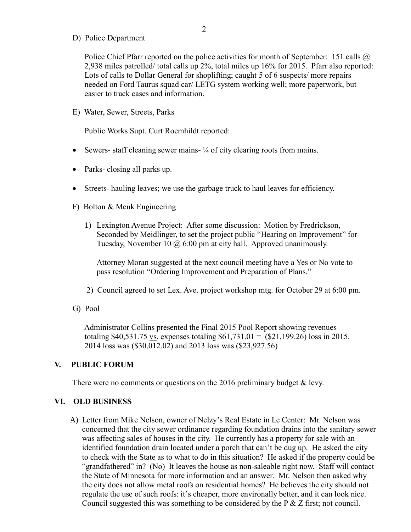D) Police Department

Police Chief Pfarr reported on the police activities for month of September: 151 calls  $\omega$ 2,938 miles patrolled/ total calls up 2%, total miles up 16% for 2015. Pfarr also reported: Lots of calls to Dollar General for shoplifting; caught 5 of 6 suspects/ more repairs needed on Ford Taurus squad car/ LETG system working well; more paperwork, but easier to track cases and information.

E) Water, Sewer, Streets, Parks

Public Works Supt. Curt Roemhildt reported:

- Sewers- staff cleaning sewer mains- ¼ of city clearing roots from mains.
- Parks- closing all parks up.
- Streets- hauling leaves; we use the garbage truck to haul leaves for efficiency.
- F) Bolton & Menk Engineering
	- 1) Lexington Avenue Project: After some discussion: Motion by Fredrickson, Seconded by Meidlinger, to set the project public "Hearing on Improvement" for Tuesday, November 10 @ 6:00 pm at city hall. Approved unanimously.

Attorney Moran suggested at the next council meeting have a Yes or No vote to pass resolution "Ordering Improvement and Preparation of Plans."

- 2) Council agreed to set Lex. Ave. project workshop mtg. for October 29 at 6:00 pm.
- G) Pool

 Administrator Collins presented the Final 2015 Pool Report showing revenues totaling \$40,531.75 vs. expenses totaling  $$61,731.01 = ($21,199.26)$  loss in 2015. 2014 loss was (\$30,012.02) and 2013 loss was (\$23,927.56)

#### **V. PUBLIC FORUM**

There were no comments or questions on the 2016 preliminary budget & levy.

#### **VI. OLD BUSINESS**

A) Letter from Mike Nelson, owner of Nelzy's Real Estate in Le Center: Mr. Nelson was concerned that the city sewer ordinance regarding foundation drains into the sanitary sewer was affecting sales of houses in the city. He currently has a property for sale with an identified foundation drain located under a porch that can't be dug up. He asked the city to check with the State as to what to do in this situation? He asked if the property could be "grandfathered" in? (No) It leaves the house as non-saleable right now. Staff will contact the State of Minnesota for more information and an answer. Mr. Nelson then asked why the city does not allow metal roofs on residential homes? He believes the city should not regulate the use of such roofs: it's cheaper, more environally better, and it can look nice. Council suggested this was something to be considered by the P & Z first; not council.